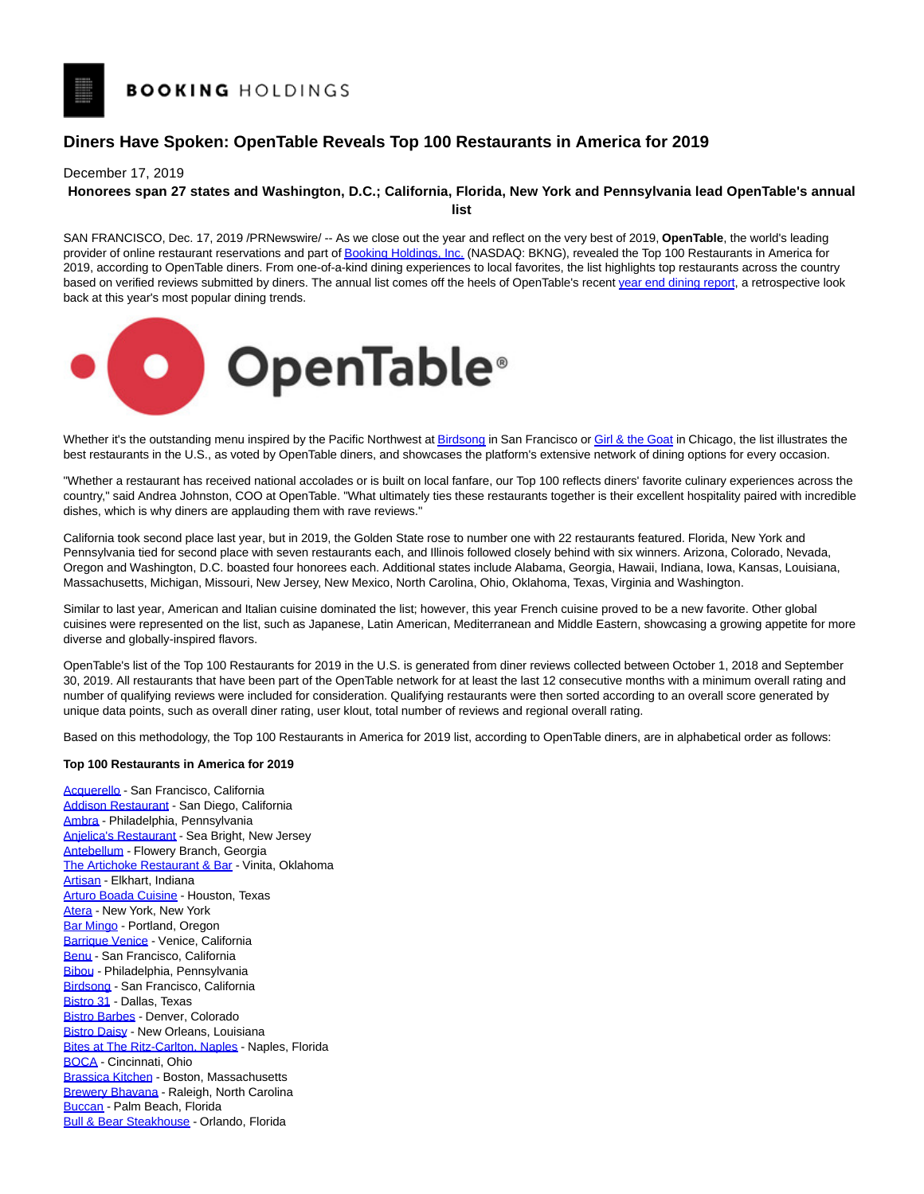## **Diners Have Spoken: OpenTable Reveals Top 100 Restaurants in America for 2019**

December 17, 2019

## **Honorees span 27 states and Washington, D.C.; California, Florida, New York and Pennsylvania lead OpenTable's annual**

**list**

SAN FRANCISCO, Dec. 17, 2019 /PRNewswire/ -- As we close out the year and reflect on the very best of 2019, **OpenTable**, the world's leading provider of online restaurant reservations and part o[f Booking Holdings, Inc. \(](https://c212.net/c/link/?t=0&l=en&o=2673369-1&h=2439073843&u=https%3A%2F%2Fwww.bookingholdings.com%2F&a=Booking+Holdings%2C+Inc.)NASDAQ: BKNG), revealed the Top 100 Restaurants in America for 2019, according to OpenTable diners. From one-of-a-kind dining experiences to local favorites, the list highlights top restaurants across the country based on verified reviews submitted by diners. The annual list comes off the heels of OpenTable's recen[t year end dining report,](https://c212.net/c/link/?t=0&l=en&o=2673369-1&h=1042525574&u=https%3A%2F%2Fpress.opentable.com%2Fnews-releases%2Fnews-release-details%2Fwhats-your-plate-opentable-reveals-dining-trends-2019&a=year+end+dining+report) a retrospective look back at this year's most popular dining trends.



Whether it's the outstanding menu inspired by the Pacific Northwest a[t Birdsong i](https://c212.net/c/link/?t=0&l=en&o=2673369-1&h=1562676949&u=https%3A%2F%2Fwww.opentable.com%2Fr%2Fbirdsong-san-francisco&a=Birdsong)n San Francisco o[r Girl & the Goat i](https://c212.net/c/link/?t=0&l=en&o=2673369-1&h=3622476363&u=https%3A%2F%2Fwww.opentable.com%2Fr%2Fgirl-and-the-goat-chicago&a=Girl+%26+the+Goat)n Chicago, the list illustrates the best restaurants in the U.S., as voted by OpenTable diners, and showcases the platform's extensive network of dining options for every occasion.

"Whether a restaurant has received national accolades or is built on local fanfare, our Top 100 reflects diners' favorite culinary experiences across the country," said Andrea Johnston, COO at OpenTable. "What ultimately ties these restaurants together is their excellent hospitality paired with incredible dishes, which is why diners are applauding them with rave reviews."

California took second place last year, but in 2019, the Golden State rose to number one with 22 restaurants featured. Florida, New York and Pennsylvania tied for second place with seven restaurants each, and Illinois followed closely behind with six winners. Arizona, Colorado, Nevada, Oregon and Washington, D.C. boasted four honorees each. Additional states include Alabama, Georgia, Hawaii, Indiana, Iowa, Kansas, Louisiana, Massachusetts, Michigan, Missouri, New Jersey, New Mexico, North Carolina, Ohio, Oklahoma, Texas, Virginia and Washington.

Similar to last year, American and Italian cuisine dominated the list; however, this year French cuisine proved to be a new favorite. Other global cuisines were represented on the list, such as Japanese, Latin American, Mediterranean and Middle Eastern, showcasing a growing appetite for more diverse and globally-inspired flavors.

OpenTable's list of the Top 100 Restaurants for 2019 in the U.S. is generated from diner reviews collected between October 1, 2018 and September 30, 2019. All restaurants that have been part of the OpenTable network for at least the last 12 consecutive months with a minimum overall rating and number of qualifying reviews were included for consideration. Qualifying restaurants were then sorted according to an overall score generated by unique data points, such as overall diner rating, user klout, total number of reviews and regional overall rating.

Based on this methodology, the Top 100 Restaurants in America for 2019 list, according to OpenTable diners, are in alphabetical order as follows:

## **Top 100 Restaurants in America for 2019**

[Acquerello -](https://c212.net/c/link/?t=0&l=en&o=2673369-1&h=3516796265&u=https%3A%2F%2Fwww.opentable.com%2Facquerello&a=Acquerello) San Francisco, California [Addison Restaurant -](https://c212.net/c/link/?t=0&l=en&o=2673369-1&h=3525582718&u=https%3A%2F%2Fwww.opentable.com%2Faddison-restaurant&a=Addison+Restaurant) San Diego, California [Ambra -](https://c212.net/c/link/?t=0&l=en&o=2673369-1&h=4049524386&u=https%3A%2F%2Fwww.opentable.com%2Fr%2Fambra-philadelphia&a=Ambra) Philadelphia, Pennsylvania [Anjelica's Restaurant -](https://c212.net/c/link/?t=0&l=en&o=2673369-1&h=3415507493&u=https%3A%2F%2Fwww.opentable.com%2Fanjelicas-restaurant&a=Anjelica%27s+Restaurant) Sea Bright, New Jersey [Antebellum -](https://c212.net/c/link/?t=0&l=en&o=2673369-1&h=193607143&u=https%3A%2F%2Fwww.opentable.com%2Fantebellum&a=Antebellum) Flowery Branch, Georgia [The Artichoke Restaurant & Bar -](https://c212.net/c/link/?t=0&l=en&o=2673369-1&h=409156814&u=https%3A%2F%2Fwww.opentable.com%2Fthe-artichoke-restaurant-and-bar&a=The+Artichoke+Restaurant+%26+Bar) Vinita, Oklahoma [Artisan -](https://c212.net/c/link/?t=0&l=en&o=2673369-1&h=2256440088&u=https%3A%2F%2Fwww.opentable.com%2Fr%2Fartisan-elkhart&a=Artisan) Elkhart, Indiana [Arturo Boada Cuisine -](https://c212.net/c/link/?t=0&l=en&o=2673369-1&h=508960748&u=https%3A%2F%2Fwww.opentable.com%2Farturo-boada-cuisine&a=Arturo+Boada+Cuisine) Houston, Texas [Atera -](https://c212.net/c/link/?t=0&l=en&o=2673369-1&h=2377543442&u=https%3A%2F%2Fwww.opentable.com%2Fatera&a=Atera) New York, New York [Bar Mingo -](https://c212.net/c/link/?t=0&l=en&o=2673369-1&h=6299080&u=https%3A%2F%2Fwww.opentable.com%2Fbar-mingo&a=Bar+Mingo) Portland, Oregon [Barrique Venice -](https://c212.net/c/link/?t=0&l=en&o=2673369-1&h=3353134111&u=https%3A%2F%2Fwww.opentable.com%2Fr%2Fbarrique-venice&a=Barrique+Venice) Venice, California [Benu -](https://c212.net/c/link/?t=0&l=en&o=2673369-1&h=1954535497&u=https%3A%2F%2Fwww.opentable.com%2Fr%2Fbenu-san-francisco&a=Benu) San Francisco, California [Bibou -](https://c212.net/c/link/?t=0&l=en&o=2673369-1&h=2575060407&u=https%3A%2F%2Fwww.opentable.com%2Fr%2Fbibou-philadelphia&a=Bibou) Philadelphia, Pennsylvania [Birdsong -](https://c212.net/c/link/?t=0&l=en&o=2673369-1&h=1562676949&u=https%3A%2F%2Fwww.opentable.com%2Fr%2Fbirdsong-san-francisco&a=Birdsong) San Francisco, California [Bistro 31 -](https://c212.net/c/link/?t=0&l=en&o=2673369-1&h=3269363630&u=https%3A%2F%2Fwww.opentable.com%2Fr%2Fbistro-31-dallas&a=Bistro+31) Dallas, Texas [Bistro Barbes -](https://c212.net/c/link/?t=0&l=en&o=2673369-1&h=2018563513&u=https%3A%2F%2Fwww.opentable.com%2Fbistro-barbes&a=Bistro+Barbes) Denver, Colorado [Bistro Daisy -](https://c212.net/c/link/?t=0&l=en&o=2673369-1&h=3678528697&u=https%3A%2F%2Fwww.opentable.com%2Fbistro-daisy&a=Bistro+Daisy) New Orleans, Louisiana **[Bites at The Ritz-Carlton, Naples -](https://c212.net/c/link/?t=0&l=en&o=2673369-1&h=4002205307&u=https%3A%2F%2Fwww.opentable.com%2Fbites-at-the-ritz-carlton-naples&a=Bites+at+The+Ritz-Carlton%2C+Naples) Naples, Florida** [BOCA -](https://c212.net/c/link/?t=0&l=en&o=2673369-1&h=1555256525&u=https%3A%2F%2Fwww.opentable.com%2Fboca-restaurant-cincinnati&a=BOCA) Cincinnati, Ohio [Brassica Kitchen -](https://c212.net/c/link/?t=0&l=en&o=2673369-1&h=3087407897&u=https%3A%2F%2Fwww.opentable.com%2Fbrassica-kitchen&a=Brassica+Kitchen) Boston, Massachusetts [Brewery Bhavana -](https://c212.net/c/link/?t=0&l=en&o=2673369-1&h=892945207&u=https%3A%2F%2Fwww.opentable.com%2Fr%2Fbrewery-bhavana-raleigh&a=Brewery+Bhavana) Raleigh, North Carolina [Buccan -](https://c212.net/c/link/?t=0&l=en&o=2673369-1&h=2448925477&u=https%3A%2F%2Fwww.opentable.com%2Fbuccan&a=Buccan) Palm Beach, Florida [Bull & Bear Steakhouse -](https://c212.net/c/link/?t=0&l=en&o=2673369-1&h=3053270278&u=https%3A%2F%2Fwww.opentable.com%2Fbull-and-bear-steakhouse&a=Bull+%26+Bear+Steakhouse) Orlando, Florida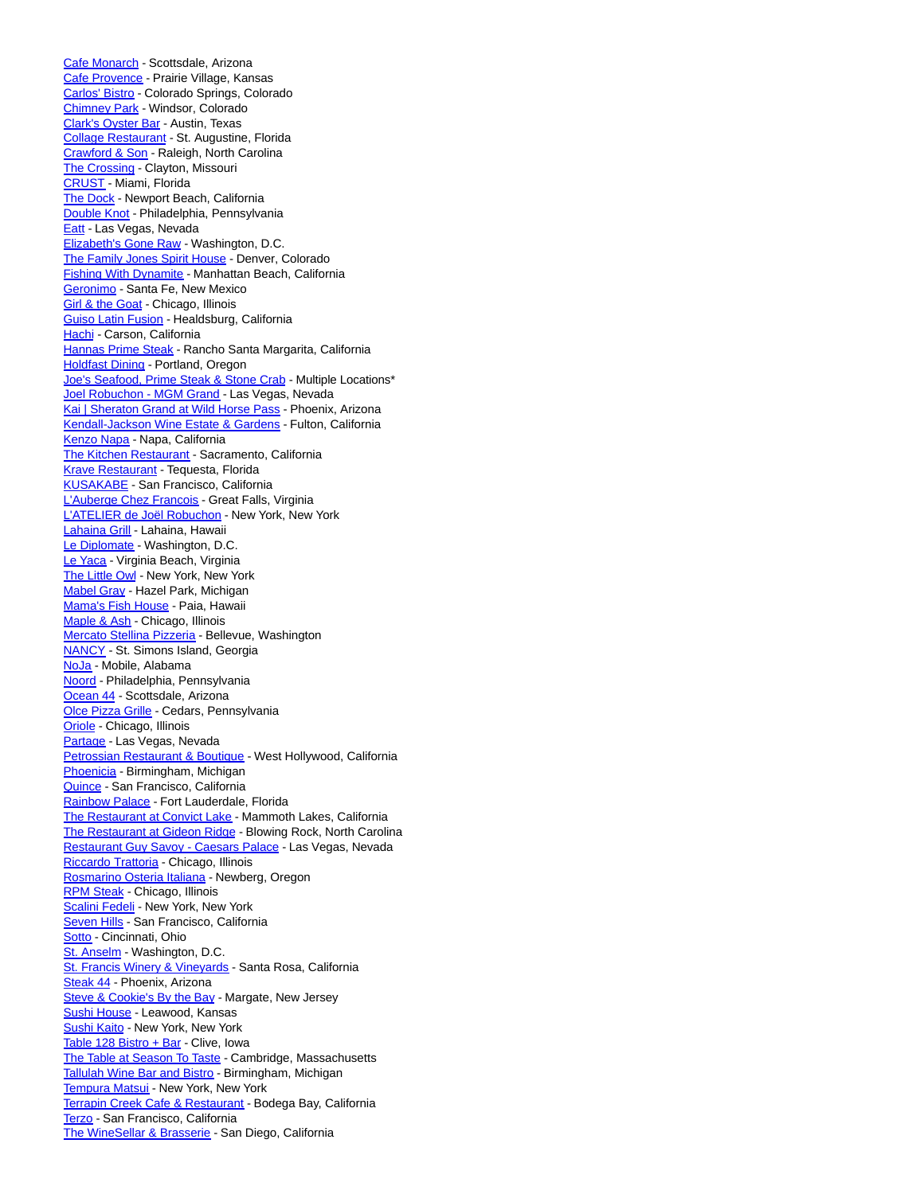[Cafe Monarch -](https://c212.net/c/link/?t=0&l=en&o=2673369-1&h=3630738185&u=https%3A%2F%2Fwww.opentable.com%2Fr%2Fcafe-monarch-scottsdale&a=Cafe+Monarch) Scottsdale, Arizona [Cafe Provence -](https://c212.net/c/link/?t=0&l=en&o=2673369-1&h=3572271509&u=https%3A%2F%2Fwww.opentable.com%2Fcafe-provence&a=Cafe+Provence) Prairie Village, Kansas [Carlos' Bistro -](https://c212.net/c/link/?t=0&l=en&o=2673369-1&h=2525461042&u=https%3A%2F%2Fwww.opentable.com%2Fr%2Fcarlos-bistro-colorado-springs&a=Carlos%27+Bistro) Colorado Springs, Colorado [Chimney Park -](https://c212.net/c/link/?t=0&l=en&o=2673369-1&h=1871768245&u=https%3A%2F%2Fwww.opentable.com%2Fr%2Fchimney-park-windsor&a=Chimney+Park) Windsor, Colorado [Clark's Oyster Bar -](https://c212.net/c/link/?t=0&l=en&o=2673369-1&h=2765132498&u=https%3A%2F%2Fwww.opentable.com%2Fr%2Fclarks-oyster-bar-austin&a=Clark%27s+Oyster+Bar) Austin, Texas [Collage Restaurant -](https://c212.net/c/link/?t=0&l=en&o=2673369-1&h=2756635082&u=https%3A%2F%2Fwww.opentable.com%2Fcollage-restaurant&a=Collage+Restaurant) St. Augustine, Florida [Crawford & Son -](https://c212.net/c/link/?t=0&l=en&o=2673369-1&h=4191431711&u=https%3A%2F%2Fwww.opentable.com%2Fr%2Fcrawford-and-son-raleigh&a=Crawford+%26+Son) Raleigh, North Carolina [The Crossing -](https://c212.net/c/link/?t=0&l=en&o=2673369-1&h=1672726117&u=https%3A%2F%2Fwww.opentable.com%2Fthe-crossing-clayton&a=The+Crossing) Clayton, Missouri [CRUST -](https://c212.net/c/link/?t=0&l=en&o=2673369-1&h=1500922806&u=https%3A%2F%2Fwww.opentable.com%2Fr%2Fcrust-miami-2&a=CRUST) Miami, Florida [The Dock -](https://c212.net/c/link/?t=0&l=en&o=2673369-1&h=528304842&u=https%3A%2F%2Fwww.opentable.com%2Fthe-dock&a=The+Dock) Newport Beach, California [Double Knot -](https://c212.net/c/link/?t=0&l=en&o=2673369-1&h=2170101639&u=https%3A%2F%2Fwww.opentable.com%2Fdouble-knot&a=Double+Knot) Philadelphia, Pennsylvania [Eatt -](https://c212.net/c/link/?t=0&l=en&o=2673369-1&h=30267936&u=https%3A%2F%2Fwww.opentable.com%2Fr%2Featt-las-vegas&a=Eatt) Las Vegas, Nevada [Elizabeth's Gone Raw -](https://c212.net/c/link/?t=0&l=en&o=2673369-1&h=3145817289&u=https%3A%2F%2Fwww.opentable.com%2Felizabeths-gone-raw&a=Elizabeth%27s+Gone+Raw) Washington, D.C. [The Family Jones Spirit House -](https://c212.net/c/link/?t=0&l=en&o=2673369-1&h=4071259028&u=https%3A%2F%2Fwww.opentable.com%2Fr%2Fthe-family-jones-spirit-house-denver&a=The+Family+Jones+Spirit+House) Denver, Colorado [Fishing With Dynamite -](https://c212.net/c/link/?t=0&l=en&o=2673369-1&h=3286632319&u=https%3A%2F%2Fwww.opentable.com%2Fr%2Ffishing-with-dynamite-manhattan-beach&a=Fishing+With+Dynamite) Manhattan Beach, California [Geronimo -](https://c212.net/c/link/?t=0&l=en&o=2673369-1&h=248383177&u=https%3A%2F%2Fwww.opentable.com%2Fgeronimo-santa-fe&a=Geronimo) Santa Fe, New Mexico **[Girl & the Goat -](https://c212.net/c/link/?t=0&l=en&o=2673369-1&h=3622476363&u=https%3A%2F%2Fwww.opentable.com%2Fr%2Fgirl-and-the-goat-chicago&a=Girl+%26+the+Goat) Chicago, Illinois** [Guiso Latin Fusion -](https://c212.net/c/link/?t=0&l=en&o=2673369-1&h=3924685091&u=https%3A%2F%2Fwww.opentable.com%2Fguiso-latin-fusion&a=Guiso+Latin+Fusion) Healdsburg, California [Hachi -](https://c212.net/c/link/?t=0&l=en&o=2673369-1&h=2582072586&u=https%3A%2F%2Fwww.opentable.com%2Fhachi-carson&a=Hachi) Carson, California [Hannas Prime Steak -](https://c212.net/c/link/?t=0&l=en&o=2673369-1&h=2235390741&u=https%3A%2F%2Fwww.opentable.com%2Fr%2Fhannas-prime-steak-rancho-santa-margarita&a=Hannas+Prime+Steak) Rancho Santa Margarita, California [Holdfast Dining -](https://c212.net/c/link/?t=0&l=en&o=2673369-1&h=3565434037&u=https%3A%2F%2Fwww.opentable.com%2Fholdfast-dining&a=Holdfast+Dining) Portland, Oregon [Joe's Seafood, Prime Steak & Stone Crab -](https://c212.net/c/link/?t=0&l=en&o=2673369-1&h=1722982053&u=https%3A%2F%2Fwww.opentable.com%2Flists%2Ftop-100-america-2019&a=Joe%27s+Seafood%2C+Prime+Steak+%26+Stone+Crab) Multiple Locations\* [Joel Robuchon - MGM Grand -](https://c212.net/c/link/?t=0&l=en&o=2673369-1&h=813514791&u=https%3A%2F%2Fwww.opentable.com%2Fjoel-robuchon-mgm-grand-hotel-and-casino-mgm-resorts&a=Joel+Robuchon+-+MGM+Grand) Las Vegas, Nevada [Kai | Sheraton Grand at Wild Horse Pass -](https://c212.net/c/link/?t=0&l=en&o=2673369-1&h=2374543791&u=https%3A%2F%2Fwww.opentable.com%2Fkai-sheraton-wild-horse-pass-resort&a=Kai+%7C+Sheraton+Grand+at+Wild+Horse+Pass) Phoenix, Arizona [Kendall-Jackson Wine Estate & Gardens -](https://c212.net/c/link/?t=0&l=en&o=2673369-1&h=1739612846&u=https%3A%2F%2Fwww.opentable.com%2Fr%2Fkendall-jackson-wine-estate-and-gardens-fulton&a=Kendall-Jackson+Wine+Estate+%26+Gardens) Fulton, California [Kenzo Napa -](https://c212.net/c/link/?t=0&l=en&o=2673369-1&h=1235778316&u=https%3A%2F%2Fwww.opentable.com%2Fr%2Fkenzo-napa&a=Kenzo+Napa) Napa, California [The Kitchen Restaurant -](https://c212.net/c/link/?t=0&l=en&o=2673369-1&h=1502336409&u=https%3A%2F%2Fwww.opentable.com%2Fthe-kitchen-restaurant&a=The+Kitchen+Restaurant) Sacramento, California [Krave Restaurant -](https://c212.net/c/link/?t=0&l=en&o=2673369-1&h=70896784&u=https%3A%2F%2Fwww.opentable.com%2Fkrave-creative-cuisine-and-wine-bar&a=Krave+Restaurant) Tequesta, Florida [KUSAKABE -](https://c212.net/c/link/?t=0&l=en&o=2673369-1&h=3708241219&u=https%3A%2F%2Fwww.opentable.com%2Fkusakabe&a=KUSAKABE) San Francisco, California [L'Auberge Chez Francois -](https://c212.net/c/link/?t=0&l=en&o=2673369-1&h=2027851689&u=https%3A%2F%2Fwww.opentable.com%2Flauberge-chez-francois&a=L%27Auberge+Chez+Francois) Great Falls, Virginia [L'ATELIER de Joël Robuchon -](https://c212.net/c/link/?t=0&l=en&o=2673369-1&h=3508115315&u=https%3A%2F%2Fwww.opentable.com%2Fr%2Flatelier-de-joel-robuchon-new-york&a=L%27ATELIER+de+Jo%C3%ABl+Robuchon) New York, New York [Lahaina Grill -](https://c212.net/c/link/?t=0&l=en&o=2673369-1&h=764016914&u=https%3A%2F%2Fwww.opentable.com%2Flahaina-grill&a=Lahaina+Grill) Lahaina, Hawaii [Le Diplomate -](https://c212.net/c/link/?t=0&l=en&o=2673369-1&h=1649177741&u=https%3A%2F%2Fwww.opentable.com%2Fle-diplomate&a=Le+Diplomate) Washington, D.C. [Le Yaca -](https://c212.net/c/link/?t=0&l=en&o=2673369-1&h=3787672053&u=https%3A%2F%2Fwww.opentable.com%2Fr%2Fle-yaca-virginia-beach&a=Le+Yaca) Virginia Beach, Virginia [The Little Owl -](https://c212.net/c/link/?t=0&l=en&o=2673369-1&h=2220594811&u=https%3A%2F%2Fwww.opentable.com%2Fthe-little-owl&a=The+Little+Owl) New York, New York [Mabel Gray -](https://c212.net/c/link/?t=0&l=en&o=2673369-1&h=1917538768&u=https%3A%2F%2Fwww.opentable.com%2Fr%2Fmabel-gray-hazel-park&a=Mabel+Gray) Hazel Park, Michigan [Mama's Fish House -](https://c212.net/c/link/?t=0&l=en&o=2673369-1&h=1884325307&u=https%3A%2F%2Fwww.opentable.com%2Fmamas-fish-house&a=Mama%27s+Fish+House) Paia, Hawaii [Maple & Ash -](https://c212.net/c/link/?t=0&l=en&o=2673369-1&h=3842364823&u=https%3A%2F%2Fwww.opentable.com%2Fmaple-and-ash&a=Maple+%26+Ash) Chicago, Illinois [Mercato Stellina Pizzeria -](https://c212.net/c/link/?t=0&l=en&o=2673369-1&h=524317693&u=https%3A%2F%2Fwww.opentable.com%2Fmercato-stellina-pizzeria&a=Mercato+Stellina+Pizzeria) Bellevue, Washington [NANCY -](https://c212.net/c/link/?t=0&l=en&o=2673369-1&h=3583983683&u=https%3A%2F%2Fwww.opentable.com%2Fr%2Fnancy-saint-simons-island&a=NANCY) St. Simons Island, Georgia [NoJa -](https://c212.net/c/link/?t=0&l=en&o=2673369-1&h=4126256234&u=https%3A%2F%2Fwww.opentable.com%2Fnoja&a=NoJa) Mobile, Alabama [Noord -](https://c212.net/c/link/?t=0&l=en&o=2673369-1&h=1250867986&u=https%3A%2F%2Fwww.opentable.com%2Fr%2Fnoord-philadelphia&a=Noord) Philadelphia, Pennsylvania [Ocean 44 -](https://c212.net/c/link/?t=0&l=en&o=2673369-1&h=2843499204&u=https%3A%2F%2Fwww.opentable.com%2Fr%2Focean-44-scottsdale&a=Ocean+44) Scottsdale, Arizona [Olce Pizza Grille -](https://c212.net/c/link/?t=0&l=en&o=2673369-1&h=1606273622&u=https%3A%2F%2Fwww.opentable.com%2Folce-pizza-grille&a=Olce+Pizza+Grille) Cedars, Pennsylvania [Oriole -](https://c212.net/c/link/?t=0&l=en&o=2673369-1&h=2985380111&u=https%3A%2F%2Fwww.opentable.com%2Foriole&a=Oriole) Chicago, Illinois [Partage -](https://c212.net/c/link/?t=0&l=en&o=2673369-1&h=2864935862&u=https%3A%2F%2Fwww.opentable.com%2Fr%2Fpartage-las-vegas&a=Partage) Las Vegas, Nevada [Petrossian Restaurant & Boutique -](https://c212.net/c/link/?t=0&l=en&o=2673369-1&h=1304718924&u=https%3A%2F%2Fwww.opentable.com%2Fr%2Fpetrossian-restaurant-and-boutique-west-hollywood&a=Petrossian+Restaurant+%26+Boutique) West Hollywood, California [Phoenicia -](https://c212.net/c/link/?t=0&l=en&o=2673369-1&h=2870442957&u=https%3A%2F%2Fwww.opentable.com%2Fphoenicia-birmingham&a=Phoenicia) Birmingham, Michigan [Quince -](https://c212.net/c/link/?t=0&l=en&o=2673369-1&h=745280772&u=https%3A%2F%2Fwww.opentable.com%2Fr%2Fquince-san-francisco&a=Quince) San Francisco, California [Rainbow Palace -](https://c212.net/c/link/?t=0&l=en&o=2673369-1&h=3371360072&u=https%3A%2F%2Fwww.opentable.com%2Frainbow-palace&a=Rainbow+Palace) Fort Lauderdale, Florida [The Restaurant at Convict Lake -](https://c212.net/c/link/?t=0&l=en&o=2673369-1&h=3341308703&u=https%3A%2F%2Fwww.opentable.com%2Fthe-restaurant-at-convict-lake&a=The+Restaurant+at+Convict+Lake) Mammoth Lakes, California [The Restaurant at Gideon Ridge -](https://c212.net/c/link/?t=0&l=en&o=2673369-1&h=3402744550&u=https%3A%2F%2Fwww.opentable.com%2Frestaurant-g-at-the-gideon-ridge-inn&a=The+Restaurant+at+Gideon+Ridge) Blowing Rock, North Carolina [Restaurant Guy Savoy - Caesars Palace -](https://c212.net/c/link/?t=0&l=en&o=2673369-1&h=3239026693&u=https%3A%2F%2Fwww.opentable.com%2Frestaurant-guy-savoy-caesars-palace&a=Restaurant+Guy+Savoy+-+Caesars+Palace) Las Vegas, Nevada [Riccardo Trattoria -](https://c212.net/c/link/?t=0&l=en&o=2673369-1&h=269037578&u=https%3A%2F%2Fwww.opentable.com%2Fr%2Friccardo-trattoria-chicago&a=Riccardo+Trattoria) Chicago, Illinois [Rosmarino Osteria Italiana -](https://c212.net/c/link/?t=0&l=en&o=2673369-1&h=3669158604&u=https%3A%2F%2Fwww.opentable.com%2Fr%2Frosmarino-osteria-italiana-newberg&a=Rosmarino+Osteria+Italiana) Newberg, Oregon [RPM Steak -](https://c212.net/c/link/?t=0&l=en&o=2673369-1&h=2384632685&u=https%3A%2F%2Fwww.opentable.com%2Frpm-steak&a=RPM+Steak) Chicago, Illinois [Scalini Fedeli -](https://c212.net/c/link/?t=0&l=en&o=2673369-1&h=1689808193&u=https%3A%2F%2Fwww.opentable.com%2Fscalini-fedeli-new-york&a=Scalini+Fedeli) New York, New York [Seven Hills -](https://c212.net/c/link/?t=0&l=en&o=2673369-1&h=804252269&u=https%3A%2F%2Fwww.opentable.com%2Fr%2Fseven-hills-san-francisco&a=Seven+Hills) San Francisco, California [Sotto -](https://c212.net/c/link/?t=0&l=en&o=2673369-1&h=252187226&u=https%3A%2F%2Fwww.opentable.com%2Fsotto-cincinnati&a=Sotto) Cincinnati, Ohio [St. Anselm -](https://c212.net/c/link/?t=0&l=en&o=2673369-1&h=277995600&u=https%3A%2F%2Fwww.opentable.com%2Fr%2Fst-anselm-washington&a=St.+Anselm) Washington, D.C. [St. Francis Winery & Vineyards -](https://c212.net/c/link/?t=0&l=en&o=2673369-1&h=3414589741&u=https%3A%2F%2Fwww.opentable.com%2Fst-francis-winery-and-vineyards&a=St.+Francis+Winery+%26+Vineyards) Santa Rosa, California [Steak 44 -](https://c212.net/c/link/?t=0&l=en&o=2673369-1&h=3206355325&u=https%3A%2F%2Fwww.opentable.com%2Fsteak-44&a=Steak+44) Phoenix, Arizona [Steve & Cookie's By the Bay -](https://c212.net/c/link/?t=0&l=en&o=2673369-1&h=708737303&u=https%3A%2F%2Fwww.opentable.com%2Fsteve-and-cookies-by-the-bay&a=Steve+%26+Cookie%27s+By+the+Bay) Margate, New Jersey [Sushi House -](https://c212.net/c/link/?t=0&l=en&o=2673369-1&h=31154346&u=https%3A%2F%2Fwww.opentable.com%2Fsushi-house&a=Sushi+House) Leawood, Kansas [Sushi Kaito -](https://c212.net/c/link/?t=0&l=en&o=2673369-1&h=1500484951&u=https%3A%2F%2Fwww.opentable.com%2Fr%2Fsushi-kaito-new-york&a=Sushi+Kaito) New York, New York [Table 128 Bistro + Bar -](https://c212.net/c/link/?t=0&l=en&o=2673369-1&h=3817965272&u=https%3A%2F%2Fwww.opentable.com%2Ftable-128-bistro-and-bar&a=Table+128+Bistro+%2B+Bar) Clive, Iowa [The Table at Season To Taste -](https://c212.net/c/link/?t=0&l=en&o=2673369-1&h=2046084442&u=https%3A%2F%2Fwww.opentable.com%2Fthe-table-at-season-to-taste-cambridge&a=The+Table+at+Season+To+Taste) Cambridge, Massachusetts [Tallulah Wine Bar and Bistro -](https://c212.net/c/link/?t=0&l=en&o=2673369-1&h=1248374004&u=https%3A%2F%2Fwww.opentable.com%2Ftallulah-wine-bar-and-bistro&a=Tallulah+Wine+Bar+and+Bistro) Birmingham, Michigan [Tempura Matsui -](https://c212.net/c/link/?t=0&l=en&o=2673369-1&h=3040459778&u=https%3A%2F%2Fwww.opentable.com%2Ftempura-matsui&a=Tempura+Matsui) New York, New York [Terrapin Creek Cafe & Restaurant -](https://c212.net/c/link/?t=0&l=en&o=2673369-1&h=907404160&u=https%3A%2F%2Fwww.opentable.com%2Fterrapin-creek-cafe-and-restaurant&a=Terrapin+Creek+Cafe+%26+Restaurant) Bodega Bay, California [Terzo -](https://c212.net/c/link/?t=0&l=en&o=2673369-1&h=2058794417&u=https%3A%2F%2Fwww.opentable.com%2Fr%2Fterzo-san-francisco&a=Terzo) San Francisco, California [The WineSellar & Brasserie -](https://c212.net/c/link/?t=0&l=en&o=2673369-1&h=2751632380&u=https%3A%2F%2Fwww.opentable.com%2Fthe-winesellar-and-brasserie&a=The+WineSellar+%26+Brasserie) San Diego, California